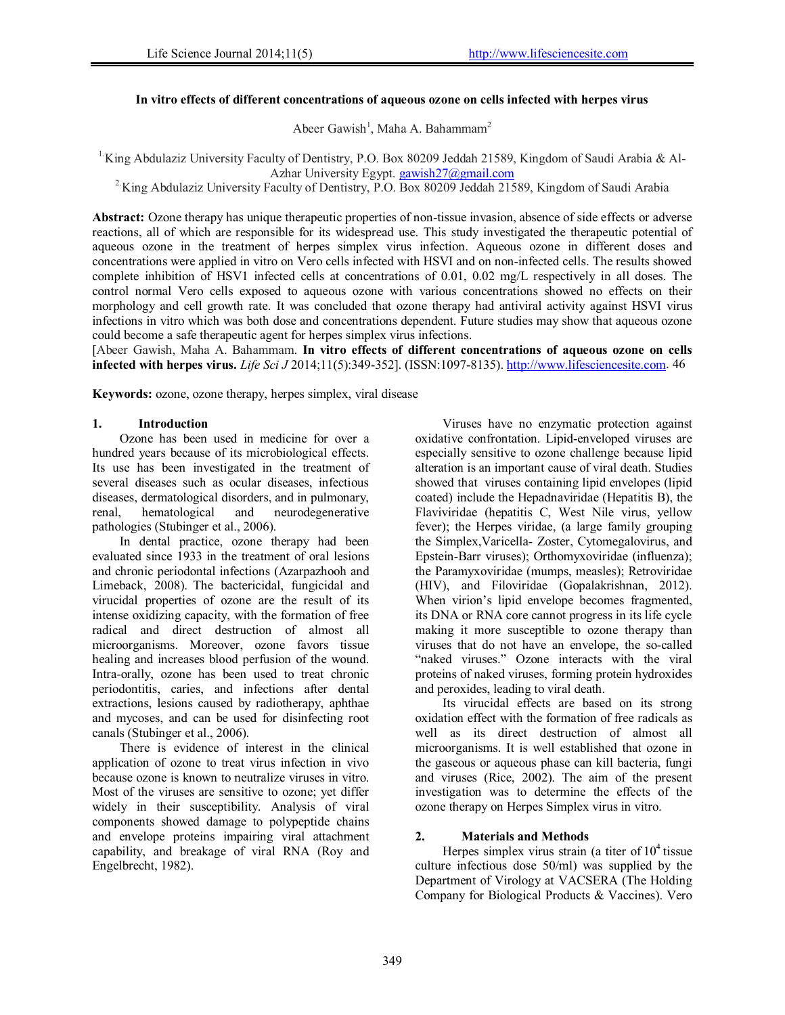# **In vitro effects of different concentrations of aqueous ozone on cells infected with herpes virus**

Abeer Gawish<sup>1</sup>, Maha A. Bahammam<sup>2</sup>

<sup>1</sup>King Abdulaziz University Faculty of Dentistry, P.O. Box 80209 Jeddah 21589, Kingdom of Saudi Arabia & Al-Azhar University Egypt. gawish27@gmail.com

<sup>2</sup>King Abdulaziz University Faculty of Dentistry, P.O. Box 80209 Jeddah 21589, Kingdom of Saudi Arabia

**Abstract:** Ozone therapy has unique therapeutic properties of non-tissue invasion, absence of side effects or adverse reactions, all of which are responsible for its widespread use. This study investigated the therapeutic potential of aqueous ozone in the treatment of herpes simplex virus infection. Aqueous ozone in different doses and concentrations were applied in vitro on Vero cells infected with HSVI and on non-infected cells. The results showed complete inhibition of HSV1 infected cells at concentrations of 0.01, 0.02 mg/L respectively in all doses. The control normal Vero cells exposed to aqueous ozone with various concentrations showed no effects on their morphology and cell growth rate. It was concluded that ozone therapy had antiviral activity against HSVI virus infections in vitro which was both dose and concentrations dependent. Future studies may show that aqueous ozone could become a safe therapeutic agent for herpes simplex virus infections.

[Abeer Gawish, Maha A. Bahammam. **In vitro effects of different concentrations of aqueous ozone on cells infected with herpes virus.** *Life Sci J* 2014;11(5):349-352]. (ISSN:1097-8135). http://www.lifesciencesite.com. 46

**Keywords:** ozone, ozone therapy, herpes simplex, viral disease

# **1. Introduction**

Ozone has been used in medicine for over a hundred years because of its microbiological effects. Its use has been investigated in the treatment of several diseases such as ocular diseases, infectious diseases, dermatological disorders, and in pulmonary,<br>renal, hematological and neurodegenerative renal, hematological and neurodegenerative pathologies (Stubinger et al., 2006).

In dental practice, ozone therapy had been evaluated since 1933 in the treatment of oral lesions and chronic periodontal infections (Azarpazhooh and Limeback, 2008). The bactericidal, fungicidal and virucidal properties of ozone are the result of its intense oxidizing capacity, with the formation of free radical and direct destruction of almost all microorganisms. Moreover, ozone favors tissue healing and increases blood perfusion of the wound. Intra-orally, ozone has been used to treat chronic periodontitis, caries, and infections after dental extractions, lesions caused by radiotherapy, aphthae and mycoses, and can be used for disinfecting root canals (Stubinger et al., 2006).

There is evidence of interest in the clinical application of ozone to treat virus infection in vivo because ozone is known to neutralize viruses in vitro. Most of the viruses are sensitive to ozone; yet differ widely in their susceptibility. Analysis of viral components showed damage to polypeptide chains and envelope proteins impairing viral attachment capability, and breakage of viral RNA (Roy and Engelbrecht, 1982).

Viruses have no enzymatic protection against oxidative confrontation. Lipid-enveloped viruses are especially sensitive to ozone challenge because lipid alteration is an important cause of viral death. Studies showed that viruses containing lipid envelopes (lipid coated) include the Hepadnaviridae (Hepatitis B), the Flaviviridae (hepatitis C, West Nile virus, yellow fever); the Herpes viridae, (a large family grouping the Simplex,Varicella- Zoster, Cytomegalovirus, and Epstein-Barr viruses); Orthomyxoviridae (influenza); the Paramyxoviridae (mumps, measles); Retroviridae (HIV), and Filoviridae (Gopalakrishnan, 2012). When virion's lipid envelope becomes fragmented, its DNA or RNA core cannot progress in its life cycle making it more susceptible to ozone therapy than viruses that do not have an envelope, the so-called "naked viruses." Ozone interacts with the viral proteins of naked viruses, forming protein hydroxides and peroxides, leading to viral death.

Its virucidal effects are based on its strong oxidation effect with the formation of free radicals as well as its direct destruction of almost all microorganisms. It is well established that ozone in the gaseous or aqueous phase can kill bacteria, fungi and viruses (Rice, 2002). The aim of the present investigation was to determine the effects of the ozone therapy on Herpes Simplex virus in vitro.

# **2. Materials and Methods**

Herpes simplex virus strain (a titer of  $10<sup>4</sup>$  tissue culture infectious dose 50/ml) was supplied by the Department of Virology at VACSERA (The Holding Company for Biological Products & Vaccines). Vero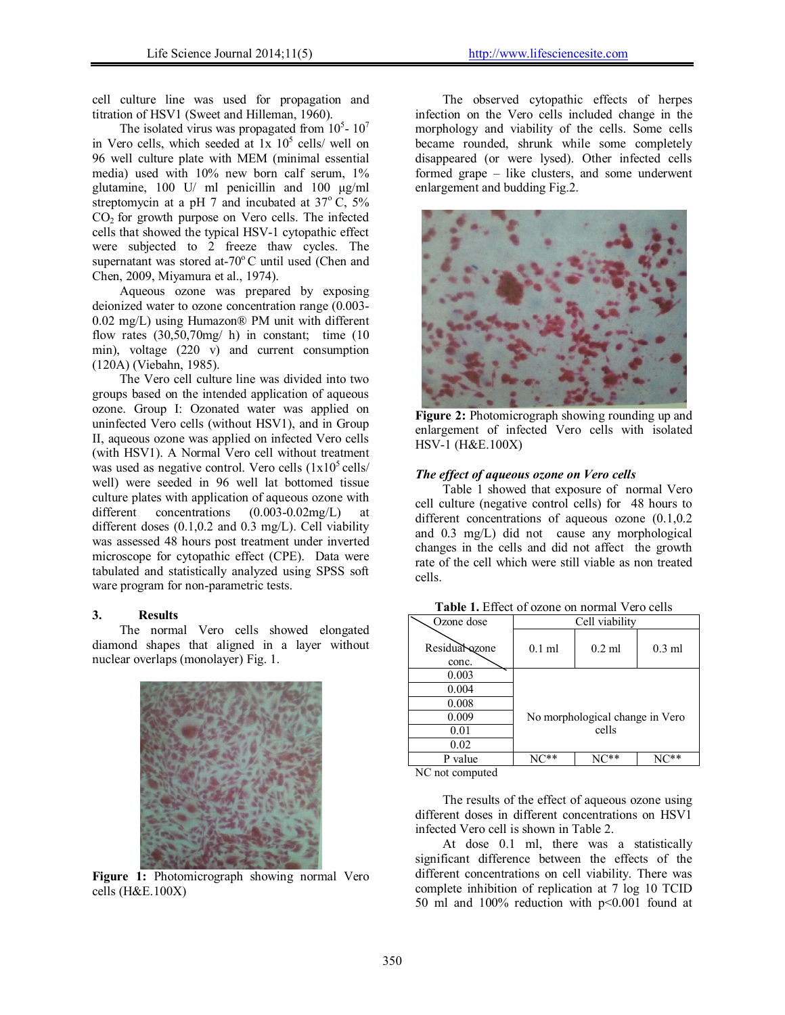cell culture line was used for propagation and titration of HSV1 (Sweet and Hilleman, 1960).

The isolated virus was propagated from  $10<sup>5</sup>$ -  $10<sup>7</sup>$ in Vero cells, which seeded at  $1x$   $10<sup>5</sup>$  cells/ well on 96 well culture plate with MEM (minimal essential media) used with 10% new born calf serum, 1% glutamine, 100 U/ ml penicillin and 100 μg/ml streptomycin at a pH 7 and incubated at  $37^{\circ}$  C,  $5\%$  $CO<sub>2</sub>$  for growth purpose on Vero cells. The infected cells that showed the typical HSV-1 cytopathic effect were subjected to 2 freeze thaw cycles. The supernatant was stored at-70 $\degree$ C until used (Chen and Chen, 2009, Miyamura et al., 1974).

Aqueous ozone was prepared by exposing deionized water to ozone concentration range (0.003- 0.02 mg/L) using Humazon® PM unit with different flow rates  $(30,50,70mg/h)$  in constant; time  $(10)$ min), voltage (220 v) and current consumption (120A) (Viebahn, 1985).

The Vero cell culture line was divided into two groups based on the intended application of aqueous ozone. Group I: Ozonated water was applied on uninfected Vero cells (without HSV1), and in Group II, aqueous ozone was applied on infected Vero cells (with HSV1). A Normal Vero cell without treatment was used as negative control. Vero cells  $(1x10^5 \text{ cells})$ well) were seeded in 96 well lat bottomed tissue culture plates with application of aqueous ozone with different concentrations  $(0.003-0.02mg/L)$  at different doses (0.1,0.2 and 0.3 mg/L). Cell viability was assessed 48 hours post treatment under inverted microscope for cytopathic effect (CPE). Data were tabulated and statistically analyzed using SPSS soft ware program for non-parametric tests.

### **3. Results**

The normal Vero cells showed elongated diamond shapes that aligned in a layer without nuclear overlaps (monolayer) Fig. 1.



 **Figure 1:** Photomicrograph showing normal Vero cells (H&E.100X)

The observed cytopathic effects of herpes infection on the Vero cells included change in the morphology and viability of the cells. Some cells became rounded, shrunk while some completely disappeared (or were lysed). Other infected cells formed grape – like clusters, and some underwent enlargement and budding Fig.2.



**Figure 2:** Photomicrograph showing rounding up and enlargement of infected Vero cells with isolated HSV-1 (H&E.100X)

## *The effect of aqueous ozone on Vero cells*

Table 1 showed that exposure of normal Vero cell culture (negative control cells) for 48 hours to different concentrations of aqueous ozone  $(0.1, 0.2)$ and 0.3 mg/L) did not cause any morphological changes in the cells and did not affect the growth rate of the cell which were still viable as non treated cells.

| Ozone dose              | Cell viability                  |          |          |  |
|-------------------------|---------------------------------|----------|----------|--|
| Residual ozone<br>conc. | $0.1$ ml                        | $0.2$ ml | $0.3$ ml |  |
| 0.003                   |                                 |          |          |  |
| 0.004                   |                                 |          |          |  |
| 0.008                   |                                 |          |          |  |
| 0.009                   | No morphological change in Vero |          |          |  |
| 0.01                    |                                 | cells    |          |  |
| 0.02                    |                                 |          |          |  |
| value                   |                                 |          |          |  |

**Table 1.** Effect of ozone on normal Vero cells

NC not computed

The results of the effect of aqueous ozone using different doses in different concentrations on HSV1 infected Vero cell is shown in Table 2.

At dose 0.1 ml, there was a statistically significant difference between the effects of the different concentrations on cell viability. There was complete inhibition of replication at 7 log 10 TCID 50 ml and 100% reduction with p<0.001 found at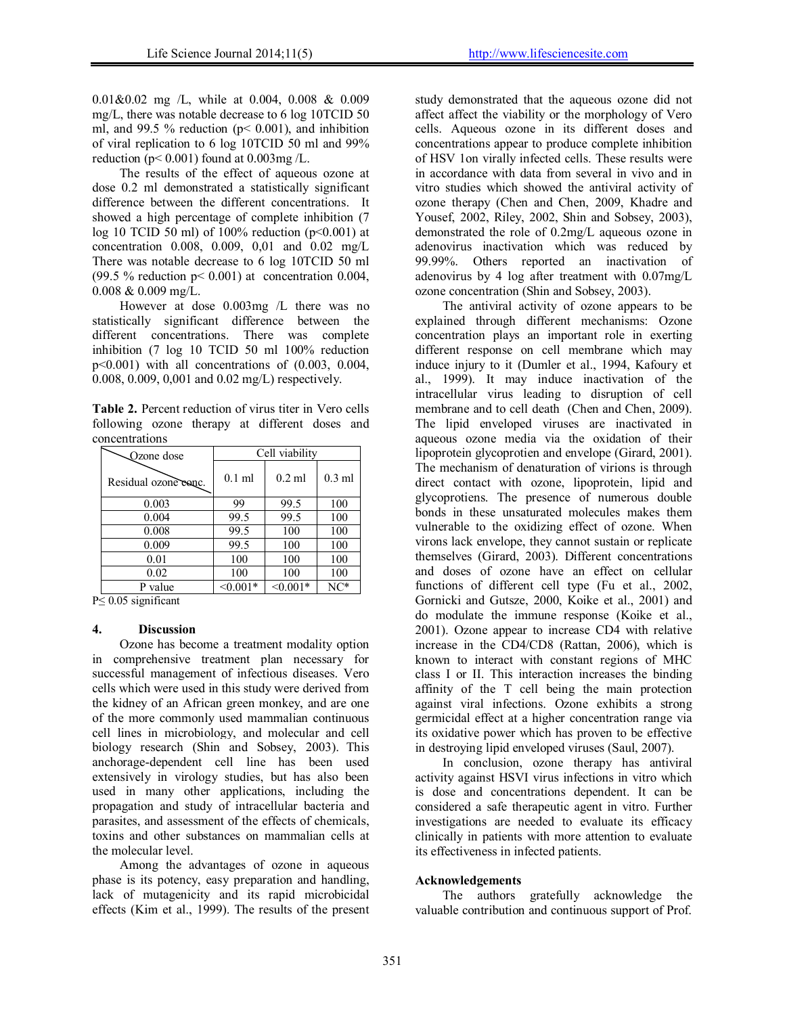0.01&0.02 mg /L, while at 0.004, 0.008 & 0.009 mg/L, there was notable decrease to 6 log 10TCID 50 ml, and 99.5 % reduction ( $p < 0.001$ ), and inhibition of viral replication to 6 log 10TCID 50 ml and 99% reduction ( $p < 0.001$ ) found at  $0.003$ mg /L.

The results of the effect of aqueous ozone at dose 0.2 ml demonstrated a statistically significant difference between the different concentrations. It showed a high percentage of complete inhibition (7 log 10 TCID 50 ml) of 100% reduction ( $p<0.001$ ) at concentration 0.008, 0.009, 0,01 and 0.02 mg/L There was notable decrease to 6 log 10TCID 50 ml (99.5 % reduction  $p < 0.001$ ) at concentration 0.004, 0.008 & 0.009 mg/L.

However at dose 0.003mg /L there was no statistically significant difference between the different concentrations. There was complete inhibition (7 log 10 TCID 50 ml 100% reduction p<0.001) with all concentrations of (0.003, 0.004, 0.008, 0.009, 0,001 and 0.02 mg/L) respectively.

**Table 2.** Percent reduction of virus titer in Vero cells following ozone therapy at different doses and concentrations

| <b>△</b> Ozone dose  | Cell viability |            |                  |
|----------------------|----------------|------------|------------------|
| Residual ozone conc. | $0.1$ ml       | $0.2$ ml   | $0.3 \text{ ml}$ |
| 0.003                | 99             | 99.5       | 100              |
| 0.004                | 99.5           | 99.5       | 100              |
| 0.008                | 99.5           | 100        | 100              |
| 0.009                | 99.5           | 100        | 100              |
| 0.01                 | 100            | 100        | 100              |
| 0.02                 | 100            | 100        | 100              |
| P value              | $< 0.001*$     | $< 0.001*$ | $NC^*$           |

P≤ 0.05 significant

# **4. Discussion**

Ozone has become a treatment modality option in comprehensive treatment plan necessary for successful management of infectious diseases. Vero cells which were used in this study were derived from the kidney of an African green monkey, and are one of the more commonly used mammalian continuous cell lines in microbiology, and molecular and cell biology research (Shin and Sobsey, 2003). This anchorage-dependent cell line has been used extensively in virology studies, but has also been used in many other applications, including the propagation and study of intracellular bacteria and parasites, and assessment of the effects of chemicals, toxins and other substances on mammalian cells at the molecular level.

Among the advantages of ozone in aqueous phase is its potency, easy preparation and handling, lack of mutagenicity and its rapid microbicidal effects (Kim et al., 1999). The results of the present study demonstrated that the aqueous ozone did not affect affect the viability or the morphology of Vero cells. Aqueous ozone in its different doses and concentrations appear to produce complete inhibition of HSV 1on virally infected cells. These results were in accordance with data from several in vivo and in vitro studies which showed the antiviral activity of ozone therapy (Chen and Chen, 2009, Khadre and Yousef, 2002, Riley, 2002, Shin and Sobsey, 2003), demonstrated the role of 0.2mg/L aqueous ozone in adenovirus inactivation which was reduced by 99.99%. Others reported an inactivation of adenovirus by 4 log after treatment with 0.07mg/L ozone concentration (Shin and Sobsey, 2003).

The antiviral activity of ozone appears to be explained through different mechanisms: Ozone concentration plays an important role in exerting different response on cell membrane which may induce injury to it (Dumler et al., 1994, Kafoury et al., 1999). It may induce inactivation of the intracellular virus leading to disruption of cell membrane and to cell death (Chen and Chen, 2009). The lipid enveloped viruses are inactivated in aqueous ozone media via the oxidation of their lipoprotein glycoprotien and envelope (Girard, 2001). The mechanism of denaturation of virions is through direct contact with ozone, lipoprotein, lipid and glycoprotiens. The presence of numerous double bonds in these unsaturated molecules makes them vulnerable to the oxidizing effect of ozone. When virons lack envelope, they cannot sustain or replicate themselves (Girard, 2003). Different concentrations and doses of ozone have an effect on cellular functions of different cell type (Fu et al., 2002, Gornicki and Gutsze, 2000, Koike et al., 2001) and do modulate the immune response (Koike et al., 2001). Ozone appear to increase CD4 with relative increase in the CD4/CD8 (Rattan, 2006), which is known to interact with constant regions of MHC class I or II. This interaction increases the binding affinity of the T cell being the main protection against viral infections. Ozone exhibits a strong germicidal effect at a higher concentration range via its oxidative power which has proven to be effective in destroying lipid enveloped viruses (Saul, 2007).

In conclusion, ozone therapy has antiviral activity against HSVI virus infections in vitro which is dose and concentrations dependent. It can be considered a safe therapeutic agent in vitro. Further investigations are needed to evaluate its efficacy clinically in patients with more attention to evaluate its effectiveness in infected patients.

### **Acknowledgements**

The authors gratefully acknowledge the valuable contribution and continuous support of Prof.